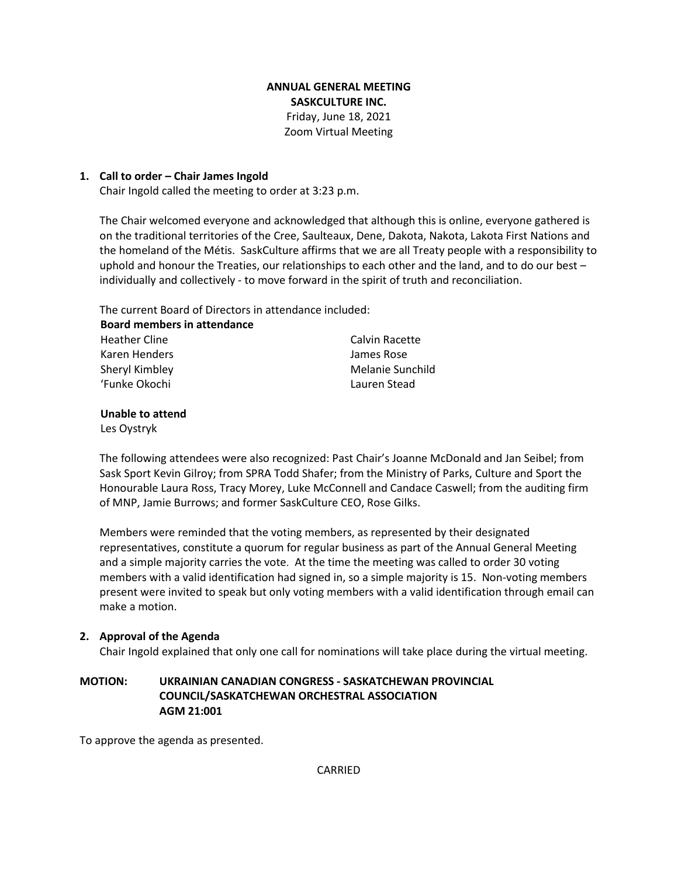# **ANNUAL GENERAL MEETING SASKCULTURE INC.** Friday, June 18, 2021 Zoom Virtual Meeting

## **1. Call to order – Chair James Ingold**

Chair Ingold called the meeting to order at 3:23 p.m.

The Chair welcomed everyone and acknowledged that although this is online, everyone gathered is on the traditional territories of the Cree, Saulteaux, Dene, Dakota, Nakota, Lakota First Nations and the homeland of the Métis. SaskCulture affirms that we are all Treaty people with a responsibility to uphold and honour the Treaties, our relationships to each other and the land, and to do our best – individually and collectively - to move forward in the spirit of truth and reconciliation.

The current Board of Directors in attendance included:

| Calvin Racette   |
|------------------|
| James Rose       |
| Melanie Sunchild |
| Lauren Stead     |
|                  |

### **Unable to attend**

Les Oystryk

The following attendees were also recognized: Past Chair's Joanne McDonald and Jan Seibel; from Sask Sport Kevin Gilroy; from SPRA Todd Shafer; from the Ministry of Parks, Culture and Sport the Honourable Laura Ross, Tracy Morey, Luke McConnell and Candace Caswell; from the auditing firm of MNP, Jamie Burrows; and former SaskCulture CEO, Rose Gilks.

Members were reminded that the voting members, as represented by their designated representatives, constitute a quorum for regular business as part of the Annual General Meeting and a simple majority carries the vote. At the time the meeting was called to order 30 voting members with a valid identification had signed in, so a simple majority is 15. Non-voting members present were invited to speak but only voting members with a valid identification through email can make a motion.

# **2. Approval of the Agenda**

Chair Ingold explained that only one call for nominations will take place during the virtual meeting.

# **MOTION: UKRAINIAN CANADIAN CONGRESS - SASKATCHEWAN PROVINCIAL COUNCIL/SASKATCHEWAN ORCHESTRAL ASSOCIATION AGM 21:001**

To approve the agenda as presented.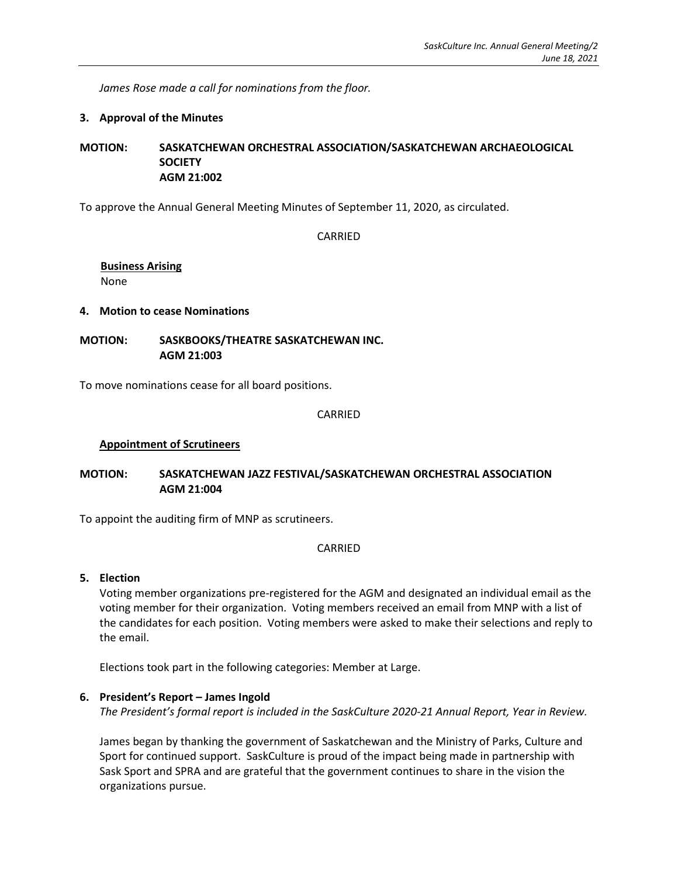*James Rose made a call for nominations from the floor.* 

### **3. Approval of the Minutes**

**MOTION: SASKATCHEWAN ORCHESTRAL ASSOCIATION/SASKATCHEWAN ARCHAEOLOGICAL SOCIETY AGM 21:002**

To approve the Annual General Meeting Minutes of September 11, 2020, as circulated.

CARRIED

#### **Business Arising** None

### **4. Motion to cease Nominations**

**MOTION: SASKBOOKS/THEATRE SASKATCHEWAN INC. AGM 21:003**

To move nominations cease for all board positions.

#### CARRIED

## **Appointment of Scrutineers**

### **MOTION: SASKATCHEWAN JAZZ FESTIVAL/SASKATCHEWAN ORCHESTRAL ASSOCIATION AGM 21:004**

To appoint the auditing firm of MNP as scrutineers.

#### CARRIED

#### **5. Election**

Voting member organizations pre-registered for the AGM and designated an individual email as the voting member for their organization. Voting members received an email from MNP with a list of the candidates for each position. Voting members were asked to make their selections and reply to the email.

Elections took part in the following categories: Member at Large.

### **6. President's Report – James Ingold**

*The President's formal report is included in the SaskCulture 2020-21 Annual Report, Year in Review.*

James began by thanking the government of Saskatchewan and the Ministry of Parks, Culture and Sport for continued support. SaskCulture is proud of the impact being made in partnership with Sask Sport and SPRA and are grateful that the government continues to share in the vision the organizations pursue.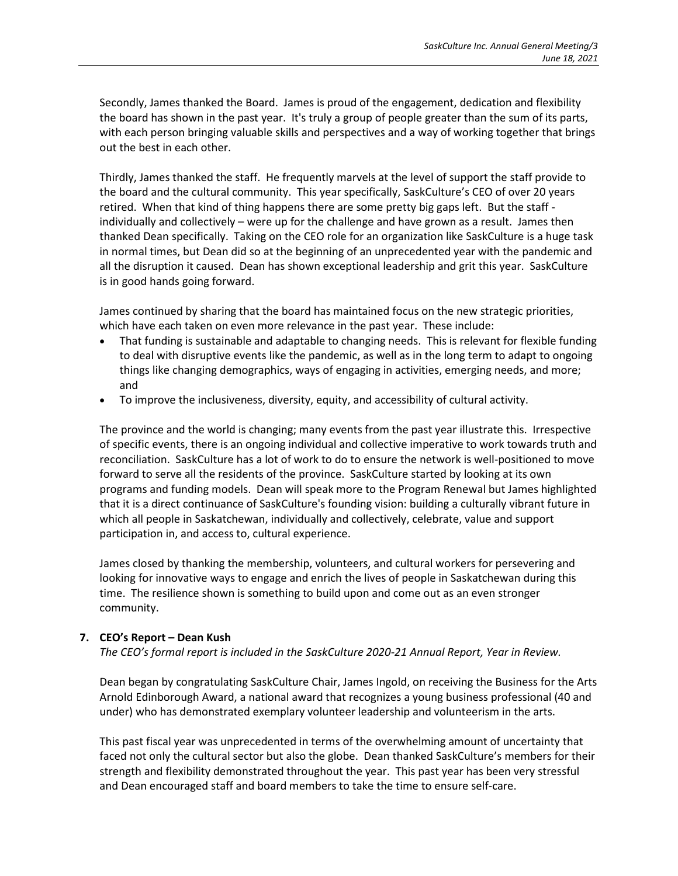Secondly, James thanked the Board. James is proud of the engagement, dedication and flexibility the board has shown in the past year. It's truly a group of people greater than the sum of its parts, with each person bringing valuable skills and perspectives and a way of working together that brings out the best in each other.

Thirdly, James thanked the staff. He frequently marvels at the level of support the staff provide to the board and the cultural community. This year specifically, SaskCulture's CEO of over 20 years retired. When that kind of thing happens there are some pretty big gaps left. But the staff individually and collectively – were up for the challenge and have grown as a result. James then thanked Dean specifically. Taking on the CEO role for an organization like SaskCulture is a huge task in normal times, but Dean did so at the beginning of an unprecedented year with the pandemic and all the disruption it caused. Dean has shown exceptional leadership and grit this year. SaskCulture is in good hands going forward.

James continued by sharing that the board has maintained focus on the new strategic priorities, which have each taken on even more relevance in the past year. These include:

- That funding is sustainable and adaptable to changing needs. This is relevant for flexible funding to deal with disruptive events like the pandemic, as well as in the long term to adapt to ongoing things like changing demographics, ways of engaging in activities, emerging needs, and more; and
- To improve the inclusiveness, diversity, equity, and accessibility of cultural activity.

The province and the world is changing; many events from the past year illustrate this. Irrespective of specific events, there is an ongoing individual and collective imperative to work towards truth and reconciliation. SaskCulture has a lot of work to do to ensure the network is well-positioned to move forward to serve all the residents of the province. SaskCulture started by looking at its own programs and funding models. Dean will speak more to the Program Renewal but James highlighted that it is a direct continuance of SaskCulture's founding vision: building a culturally vibrant future in which all people in Saskatchewan, individually and collectively, celebrate, value and support participation in, and access to, cultural experience.

James closed by thanking the membership, volunteers, and cultural workers for persevering and looking for innovative ways to engage and enrich the lives of people in Saskatchewan during this time. The resilience shown is something to build upon and come out as an even stronger community.

# **7. CEO's Report – Dean Kush**

*The CEO's formal report is included in the SaskCulture 2020-21 Annual Report, Year in Review.* 

Dean began by congratulating SaskCulture Chair, James Ingold, on receiving the Business for the Arts Arnold Edinborough Award, a national award that recognizes a young business professional (40 and under) who has demonstrated exemplary volunteer leadership and volunteerism in the arts.

This past fiscal year was unprecedented in terms of the overwhelming amount of uncertainty that faced not only the cultural sector but also the globe. Dean thanked SaskCulture's members for their strength and flexibility demonstrated throughout the year. This past year has been very stressful and Dean encouraged staff and board members to take the time to ensure self-care.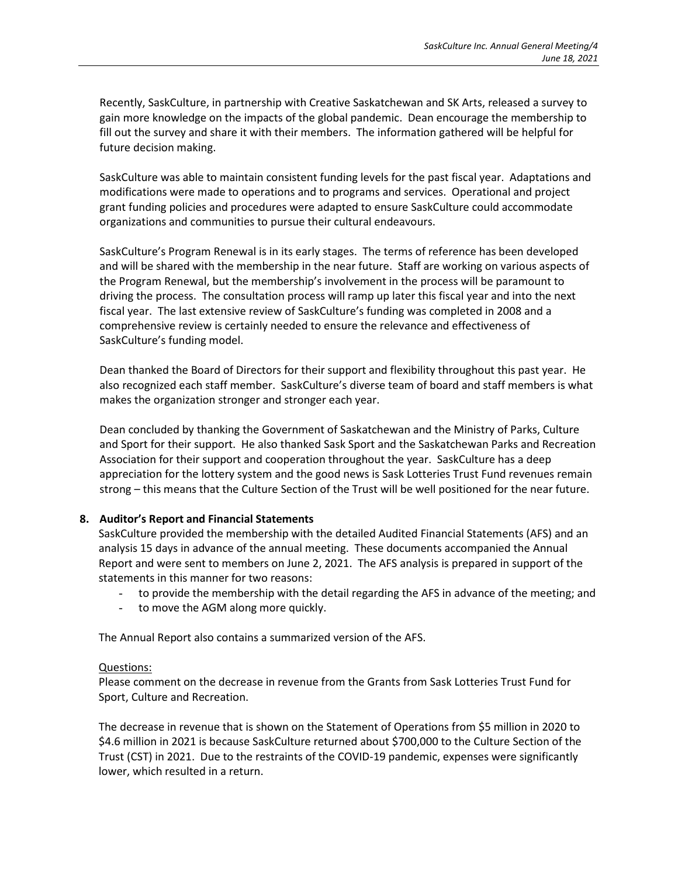Recently, SaskCulture, in partnership with Creative Saskatchewan and SK Arts, released a survey to gain more knowledge on the impacts of the global pandemic. Dean encourage the membership to fill out the survey and share it with their members. The information gathered will be helpful for future decision making.

SaskCulture was able to maintain consistent funding levels for the past fiscal year. Adaptations and modifications were made to operations and to programs and services. Operational and project grant funding policies and procedures were adapted to ensure SaskCulture could accommodate organizations and communities to pursue their cultural endeavours.

SaskCulture's Program Renewal is in its early stages. The terms of reference has been developed and will be shared with the membership in the near future. Staff are working on various aspects of the Program Renewal, but the membership's involvement in the process will be paramount to driving the process. The consultation process will ramp up later this fiscal year and into the next fiscal year. The last extensive review of SaskCulture's funding was completed in 2008 and a comprehensive review is certainly needed to ensure the relevance and effectiveness of SaskCulture's funding model.

Dean thanked the Board of Directors for their support and flexibility throughout this past year. He also recognized each staff member. SaskCulture's diverse team of board and staff members is what makes the organization stronger and stronger each year.

Dean concluded by thanking the Government of Saskatchewan and the Ministry of Parks, Culture and Sport for their support. He also thanked Sask Sport and the Saskatchewan Parks and Recreation Association for their support and cooperation throughout the year. SaskCulture has a deep appreciation for the lottery system and the good news is Sask Lotteries Trust Fund revenues remain strong – this means that the Culture Section of the Trust will be well positioned for the near future.

### **8. Auditor's Report and Financial Statements**

SaskCulture provided the membership with the detailed Audited Financial Statements (AFS) and an analysis 15 days in advance of the annual meeting. These documents accompanied the Annual Report and were sent to members on June 2, 2021. The AFS analysis is prepared in support of the statements in this manner for two reasons:

- to provide the membership with the detail regarding the AFS in advance of the meeting; and
- to move the AGM along more quickly.

The Annual Report also contains a summarized version of the AFS.

#### Questions:

Please comment on the decrease in revenue from the Grants from Sask Lotteries Trust Fund for Sport, Culture and Recreation.

The decrease in revenue that is shown on the Statement of Operations from \$5 million in 2020 to \$4.6 million in 2021 is because SaskCulture returned about \$700,000 to the Culture Section of the Trust (CST) in 2021. Due to the restraints of the COVID-19 pandemic, expenses were significantly lower, which resulted in a return.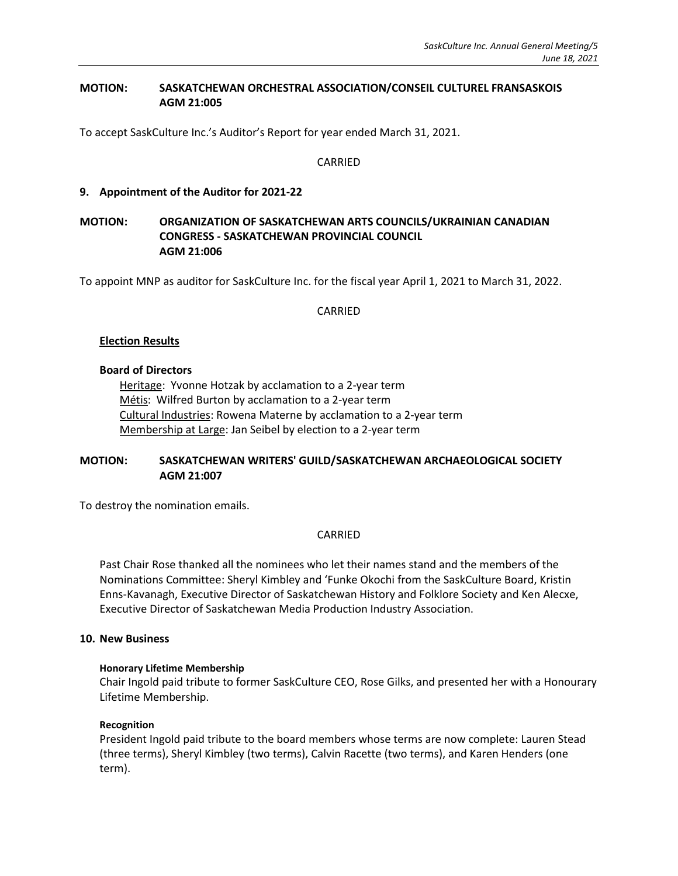## **MOTION: SASKATCHEWAN ORCHESTRAL ASSOCIATION/CONSEIL CULTUREL FRANSASKOIS AGM 21:005**

To accept SaskCulture Inc.'s Auditor's Report for year ended March 31, 2021.

### CARRIED

### **9. Appointment of the Auditor for 2021-22**

## **MOTION: ORGANIZATION OF SASKATCHEWAN ARTS COUNCILS/UKRAINIAN CANADIAN CONGRESS - SASKATCHEWAN PROVINCIAL COUNCIL AGM 21:006**

To appoint MNP as auditor for SaskCulture Inc. for the fiscal year April 1, 2021 to March 31, 2022.

CARRIED

### **Election Results**

#### **Board of Directors**

Heritage: Yvonne Hotzak by acclamation to a 2-year term Métis: Wilfred Burton by acclamation to a 2-year term Cultural Industries: Rowena Materne by acclamation to a 2-year term Membership at Large: Jan Seibel by election to a 2-year term

## **MOTION: SASKATCHEWAN WRITERS' GUILD/SASKATCHEWAN ARCHAEOLOGICAL SOCIETY AGM 21:007**

To destroy the nomination emails.

### CARRIED

Past Chair Rose thanked all the nominees who let their names stand and the members of the Nominations Committee: Sheryl Kimbley and 'Funke Okochi from the SaskCulture Board, Kristin Enns-Kavanagh, Executive Director of Saskatchewan History and Folklore Society and Ken Alecxe, Executive Director of Saskatchewan Media Production Industry Association.

#### **10. New Business**

#### **Honorary Lifetime Membership**

Chair Ingold paid tribute to former SaskCulture CEO, Rose Gilks, and presented her with a Honourary Lifetime Membership.

#### **Recognition**

President Ingold paid tribute to the board members whose terms are now complete: Lauren Stead (three terms), Sheryl Kimbley (two terms), Calvin Racette (two terms), and Karen Henders (one term).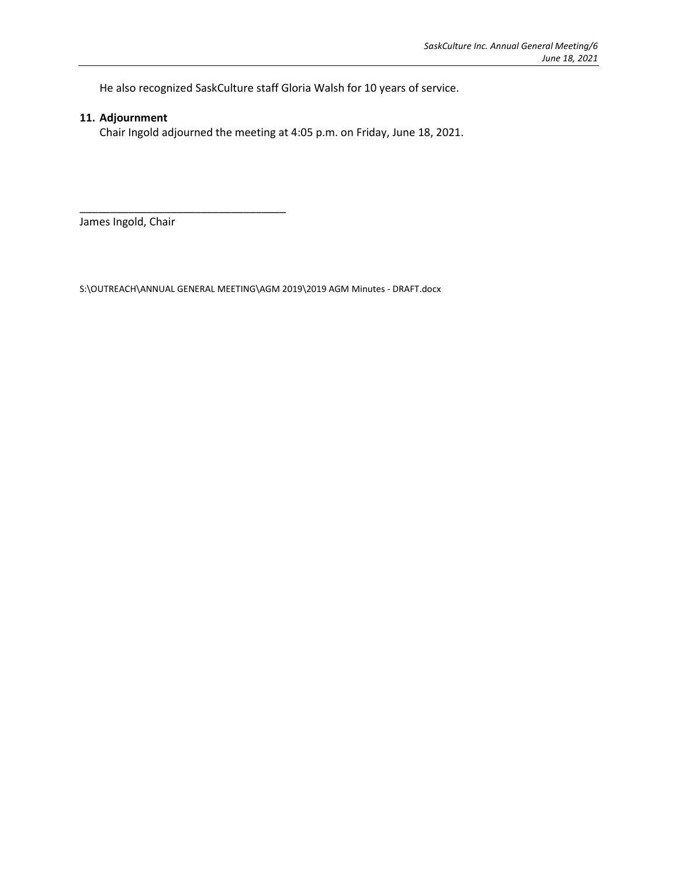He also recognized SaskCulture staff Gloria Walsh for 10 years of service.

# **11. Adjournment**

Chair Ingold adjourned the meeting at 4:05 p.m. on Friday, June 18, 2021.

James Ingold, Chair

\_\_\_\_\_\_\_\_\_\_\_\_\_\_\_\_\_\_\_\_\_\_\_\_\_\_\_\_\_\_\_\_\_\_

S:\OUTREACH\ANNUAL GENERAL MEETING\AGM 2019\2019 AGM Minutes - DRAFT.docx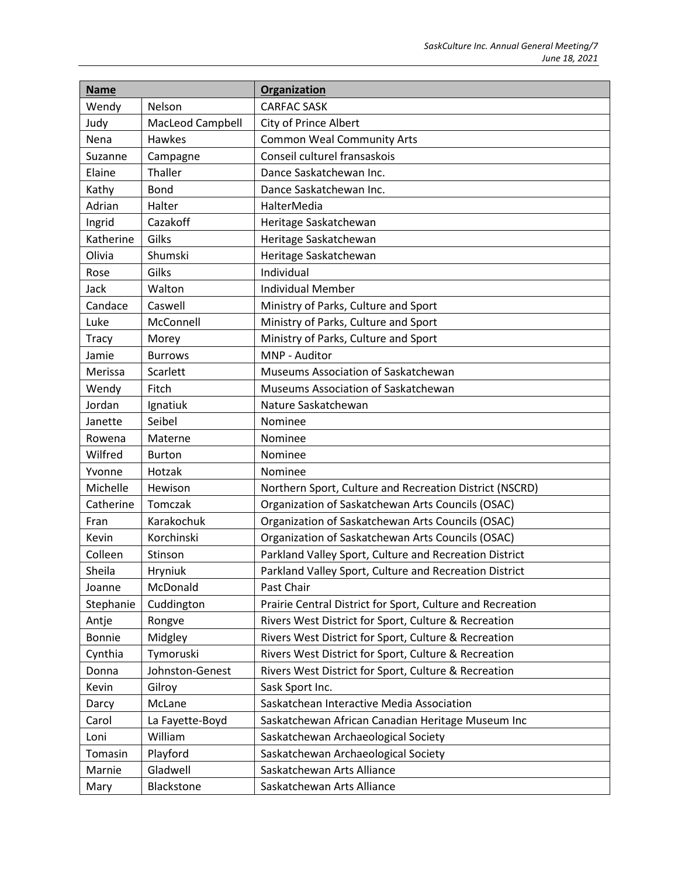| <b>Name</b>   |                  | Organization                                               |
|---------------|------------------|------------------------------------------------------------|
| Wendy         | Nelson           | <b>CARFAC SASK</b>                                         |
| Judy          | MacLeod Campbell | City of Prince Albert                                      |
| Nena          | <b>Hawkes</b>    | <b>Common Weal Community Arts</b>                          |
| Suzanne       | Campagne         | Conseil culturel fransaskois                               |
| Elaine        | Thaller          | Dance Saskatchewan Inc.                                    |
| Kathy         | <b>Bond</b>      | Dance Saskatchewan Inc.                                    |
| Adrian        | Halter           | HalterMedia                                                |
| Ingrid        | Cazakoff         | Heritage Saskatchewan                                      |
| Katherine     | Gilks            | Heritage Saskatchewan                                      |
| Olivia        | Shumski          | Heritage Saskatchewan                                      |
| Rose          | Gilks            | Individual                                                 |
| Jack          | Walton           | <b>Individual Member</b>                                   |
| Candace       | Caswell          | Ministry of Parks, Culture and Sport                       |
| Luke          | McConnell        | Ministry of Parks, Culture and Sport                       |
| Tracy         | Morey            | Ministry of Parks, Culture and Sport                       |
| Jamie         | <b>Burrows</b>   | MNP - Auditor                                              |
| Merissa       | Scarlett         | Museums Association of Saskatchewan                        |
| Wendy         | Fitch            | Museums Association of Saskatchewan                        |
| Jordan        | Ignatiuk         | Nature Saskatchewan                                        |
| Janette       | Seibel           | Nominee                                                    |
| Rowena        | Materne          | Nominee                                                    |
| Wilfred       | <b>Burton</b>    | Nominee                                                    |
| Yvonne        | Hotzak           | Nominee                                                    |
| Michelle      | Hewison          | Northern Sport, Culture and Recreation District (NSCRD)    |
| Catherine     | Tomczak          | Organization of Saskatchewan Arts Councils (OSAC)          |
| Fran          | Karakochuk       | Organization of Saskatchewan Arts Councils (OSAC)          |
| Kevin         | Korchinski       | Organization of Saskatchewan Arts Councils (OSAC)          |
| Colleen       | Stinson          | Parkland Valley Sport, Culture and Recreation District     |
| Sheila        | Hryniuk          | Parkland Valley Sport, Culture and Recreation District     |
| Joanne        | McDonald         | Past Chair                                                 |
| Stephanie     | Cuddington       | Prairie Central District for Sport, Culture and Recreation |
| Antje         | Rongve           | Rivers West District for Sport, Culture & Recreation       |
| <b>Bonnie</b> | Midgley          | Rivers West District for Sport, Culture & Recreation       |
| Cynthia       | Tymoruski        | Rivers West District for Sport, Culture & Recreation       |
| Donna         | Johnston-Genest  | Rivers West District for Sport, Culture & Recreation       |
| Kevin         | Gilroy           | Sask Sport Inc.                                            |
| Darcy         | McLane           | Saskatchean Interactive Media Association                  |
| Carol         | La Fayette-Boyd  | Saskatchewan African Canadian Heritage Museum Inc          |
| Loni          | William          | Saskatchewan Archaeological Society                        |
| Tomasin       | Playford         | Saskatchewan Archaeological Society                        |
| Marnie        | Gladwell         | Saskatchewan Arts Alliance                                 |
| Mary          | Blackstone       | Saskatchewan Arts Alliance                                 |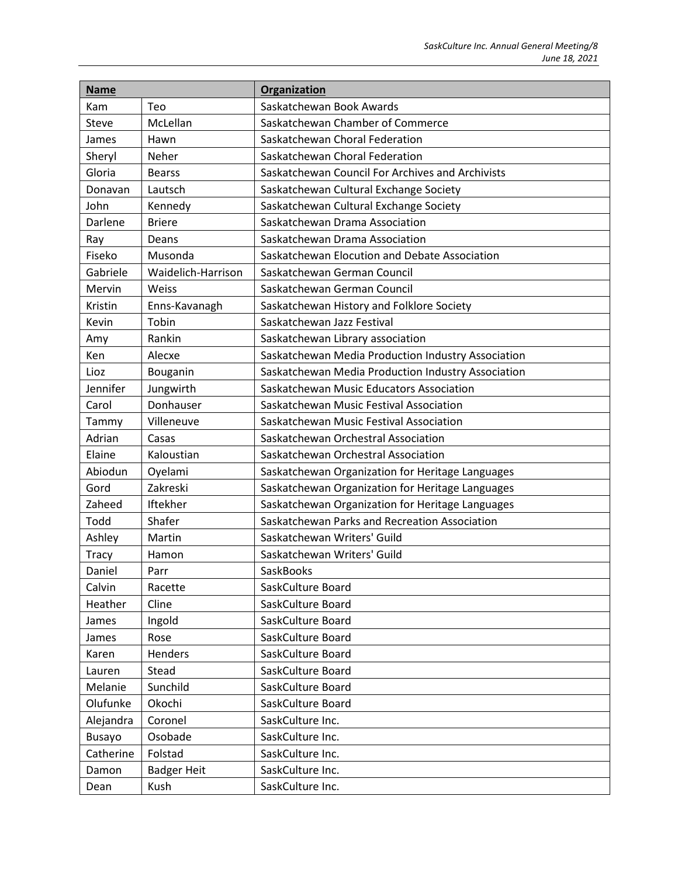| <b>Name</b>   |                    | Organization                                       |
|---------------|--------------------|----------------------------------------------------|
| Kam           | Teo                | Saskatchewan Book Awards                           |
| <b>Steve</b>  | McLellan           | Saskatchewan Chamber of Commerce                   |
| James         | Hawn               | Saskatchewan Choral Federation                     |
| Sheryl        | Neher              | Saskatchewan Choral Federation                     |
| Gloria        | <b>Bearss</b>      | Saskatchewan Council For Archives and Archivists   |
| Donavan       | Lautsch            | Saskatchewan Cultural Exchange Society             |
| John          | Kennedy            | Saskatchewan Cultural Exchange Society             |
| Darlene       | <b>Briere</b>      | Saskatchewan Drama Association                     |
| Ray           | Deans              | Saskatchewan Drama Association                     |
| Fiseko        | Musonda            | Saskatchewan Elocution and Debate Association      |
| Gabriele      | Waidelich-Harrison | Saskatchewan German Council                        |
| Mervin        | Weiss              | Saskatchewan German Council                        |
| Kristin       | Enns-Kavanagh      | Saskatchewan History and Folklore Society          |
| Kevin         | Tobin              | Saskatchewan Jazz Festival                         |
| Amy           | Rankin             | Saskatchewan Library association                   |
| Ken           | Alecxe             | Saskatchewan Media Production Industry Association |
| Lioz          | Bouganin           | Saskatchewan Media Production Industry Association |
| Jennifer      | Jungwirth          | Saskatchewan Music Educators Association           |
| Carol         | Donhauser          | Saskatchewan Music Festival Association            |
| Tammy         | Villeneuve         | Saskatchewan Music Festival Association            |
| Adrian        | Casas              | Saskatchewan Orchestral Association                |
| Elaine        | Kaloustian         | Saskatchewan Orchestral Association                |
| Abiodun       | Oyelami            | Saskatchewan Organization for Heritage Languages   |
| Gord          | Zakreski           | Saskatchewan Organization for Heritage Languages   |
| Zaheed        | Iftekher           | Saskatchewan Organization for Heritage Languages   |
| Todd          | Shafer             | Saskatchewan Parks and Recreation Association      |
| Ashley        | Martin             | Saskatchewan Writers' Guild                        |
| <b>Tracy</b>  | Hamon              | Saskatchewan Writers' Guild                        |
| Daniel        | Parr               | SaskBooks                                          |
| Calvin        | Racette            | SaskCulture Board                                  |
| Heather       | Cline              | SaskCulture Board                                  |
| James         | Ingold             | SaskCulture Board                                  |
| James         | Rose               | SaskCulture Board                                  |
| Karen         | Henders            | SaskCulture Board                                  |
| Lauren        | Stead              | SaskCulture Board                                  |
| Melanie       | Sunchild           | SaskCulture Board                                  |
| Olufunke      | Okochi             | SaskCulture Board                                  |
| Alejandra     | Coronel            | SaskCulture Inc.                                   |
| <b>Busayo</b> | Osobade            | SaskCulture Inc.                                   |
| Catherine     | Folstad            | SaskCulture Inc.                                   |
| Damon         | <b>Badger Heit</b> | SaskCulture Inc.                                   |
| Dean          | Kush               | SaskCulture Inc.                                   |